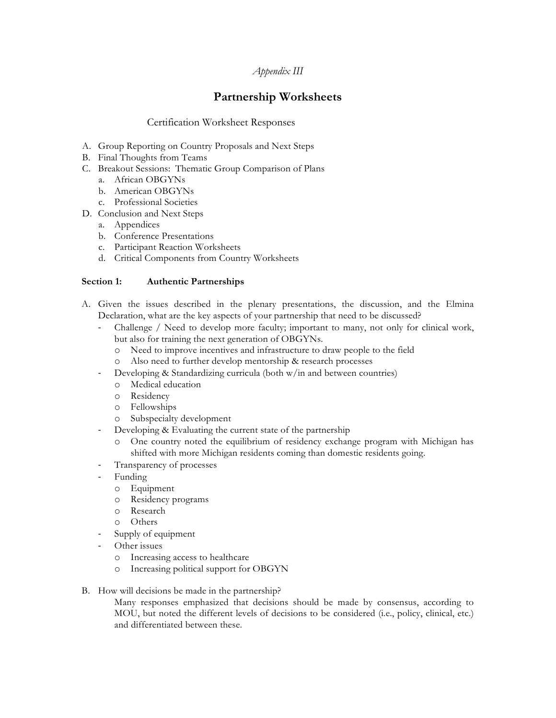## *Appendix III*

# **Partnership Worksheets**

## Certification Worksheet Responses

- A. Group Reporting on Country Proposals and Next Steps
- B. Final Thoughts from Teams
- C. Breakout Sessions: Thematic Group Comparison of Plans
	- a. African OBGYNs
	- b. American OBGYNs
	- c. Professional Societies
- D. Conclusion and Next Steps
	- a. Appendices
	- b. Conference Presentations
	- c. Participant Reaction Worksheets
	- d. Critical Components from Country Worksheets

### **Section 1: Authentic Partnerships**

- A. Given the issues described in the plenary presentations, the discussion, and the Elmina Declaration, what are the key aspects of your partnership that need to be discussed?
	- Challenge / Need to develop more faculty; important to many, not only for clinical work, but also for training the next generation of OBGYNs.
		- o Need to improve incentives and infrastructure to draw people to the field
		- o Also need to further develop mentorship & research processes
		- Developing & Standardizing curricula (both w/in and between countries)
			- o Medical education
			- o Residency
			- o Fellowships
		- o Subspecialty development
		- Developing & Evaluating the current state of the partnership
		- o One country noted the equilibrium of residency exchange program with Michigan has shifted with more Michigan residents coming than domestic residents going.
	- Transparency of processes
	- **Funding** 
		- o Equipment
		- o Residency programs
		- o Research
		- o Others
	- Supply of equipment
	- Other issues
		- o Increasing access to healthcare
		- o Increasing political support for OBGYN
- B. How will decisions be made in the partnership?

Many responses emphasized that decisions should be made by consensus, according to MOU, but noted the different levels of decisions to be considered (i.e., policy, clinical, etc.) and differentiated between these.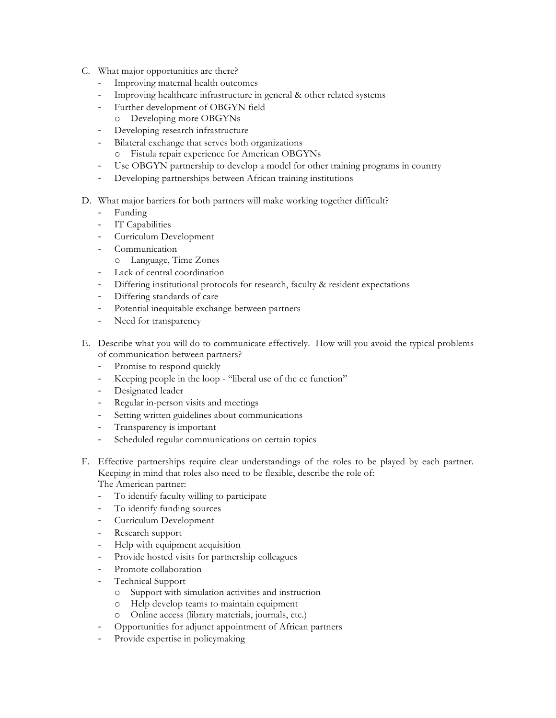- C. What major opportunities are there?
	- Improving maternal health outcomes
	- Improving healthcare infrastructure in general & other related systems
	- Further development of OBGYN field
		- o Developing more OBGYNs
	- Developing research infrastructure
	- Bilateral exchange that serves both organizations
		- o Fistula repair experience for American OBGYNs
	- Use OBGYN partnership to develop a model for other training programs in country
	- Developing partnerships between African training institutions
- D. What major barriers for both partners will make working together difficult?
	- Funding
	- IT Capabilities
	- Curriculum Development
	- Communication
		- o Language, Time Zones
	- Lack of central coordination
	- Differing institutional protocols for research, faculty & resident expectations
	- Differing standards of care
	- Potential inequitable exchange between partners
	- Need for transparency
- E. Describe what you will do to communicate effectively. How will you avoid the typical problems of communication between partners?
	- Promise to respond quickly
	- Keeping people in the loop "liberal use of the cc function"
	- Designated leader
	- Regular in-person visits and meetings
	- Setting written guidelines about communications
	- Transparency is important
	- Scheduled regular communications on certain topics
- F. Effective partnerships require clear understandings of the roles to be played by each partner. Keeping in mind that roles also need to be flexible, describe the role of: The American partner:
	-
	- To identify faculty willing to participate
	- To identify funding sources
	- Curriculum Development
	- Research support
	- Help with equipment acquisition
	- Provide hosted visits for partnership colleagues
	- Promote collaboration
	- Technical Support
		- o Support with simulation activities and instruction
		- o Help develop teams to maintain equipment
		- o Online access (library materials, journals, etc.)
		- Opportunities for adjunct appointment of African partners
	- Provide expertise in policymaking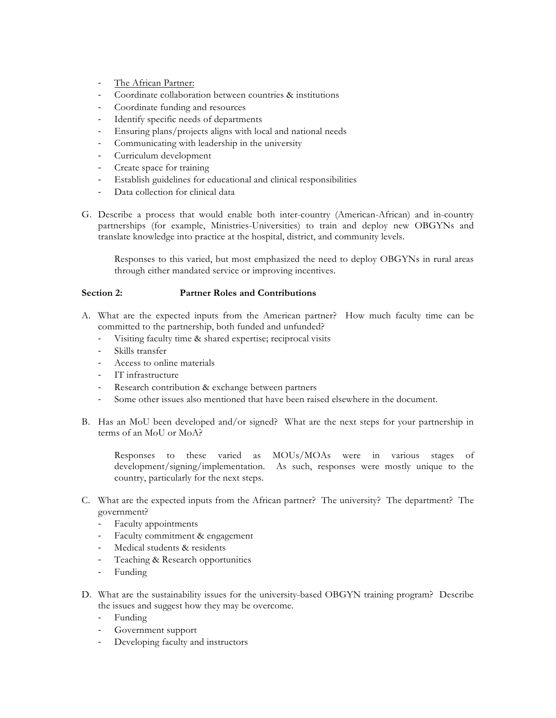- The African Partner:
- Coordinate collaboration between countries & institutions
- Coordinate funding and resources
- Identify specific needs of departments
- Ensuring plans/projects aligns with local and national needs
- Communicating with leadership in the university
- Curriculum development
- Create space for training
- Establish guidelines for educational and clinical responsibilities
- Data collection for clinical data
- G. Describe a process that would enable both inter-country (American-African) and in-country partnerships (for example, Ministries-Universities) to train and deploy new OBGYNs and translate knowledge into practice at the hospital, district, and community levels.

Responses to this varied, but most emphasized the need to deploy OBGYNs in rural areas through either mandated service or improving incentives.

#### **Section 2: Partner Roles and Contributions**

- A. What are the expected inputs from the American partner? How much faculty time can be committed to the partnership, both funded and unfunded?
	- Visiting faculty time & shared expertise; reciprocal visits
	- Skills transfer
	- Access to online materials
	- IT infrastructure
	- Research contribution & exchange between partners
	- Some other issues also mentioned that have been raised elsewhere in the document.
- B. Has an MoU been developed and/or signed? What are the next steps for your partnership in terms of an MoU or MoA?

Responses to these varied as MOUs/MOAs were in various stages of development/signing/implementation. As such, responses were mostly unique to the country, particularly for the next steps.

- C. What are the expected inputs from the African partner? The university? The department? The government?
	- Faculty appointments
	- Faculty commitment & engagement
	- Medical students & residents
	- Teaching & Research opportunities
	- Funding
- D. What are the sustainability issues for the university-based OBGYN training program? Describe the issues and suggest how they may be overcome.
	- Funding
	- Government support
	- Developing faculty and instructors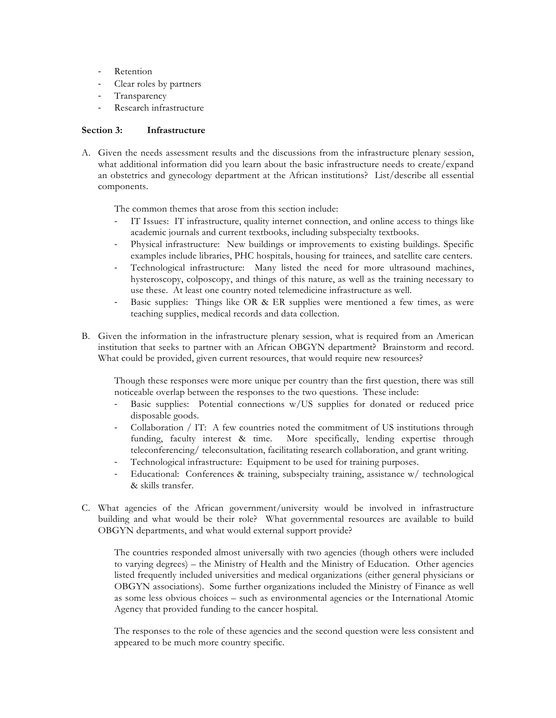- Retention
- Clear roles by partners
- **Transparency**
- Research infrastructure

#### **Section 3: Infrastructure**

A. Given the needs assessment results and the discussions from the infrastructure plenary session, what additional information did you learn about the basic infrastructure needs to create/expand an obstetrics and gynecology department at the African institutions? List/describe all essential components.

The common themes that arose from this section include:

- IT Issues: IT infrastructure, quality internet connection, and online access to things like academic journals and current textbooks, including subspecialty textbooks.
- Physical infrastructure: New buildings or improvements to existing buildings. Specific examples include libraries, PHC hospitals, housing for trainees, and satellite care centers.
- Technological infrastructure: Many listed the need for more ultrasound machines, hysteroscopy, colposcopy, and things of this nature, as well as the training necessary to use these. At least one country noted telemedicine infrastructure as well.
- Basic supplies: Things like OR & ER supplies were mentioned a few times, as were teaching supplies, medical records and data collection.
- B. Given the information in the infrastructure plenary session, what is required from an American institution that seeks to partner with an African OBGYN department? Brainstorm and record. What could be provided, given current resources, that would require new resources?

Though these responses were more unique per country than the first question, there was still noticeable overlap between the responses to the two questions. These include:

- Basic supplies: Potential connections w/US supplies for donated or reduced price disposable goods.
- Collaboration / IT: A few countries noted the commitment of US institutions through funding, faculty interest & time. More specifically, lending expertise through teleconferencing/ teleconsultation, facilitating research collaboration, and grant writing.
- Technological infrastructure: Equipment to be used for training purposes.
- Educational: Conferences & training, subspecialty training, assistance w/ technological & skills transfer.
- C. What agencies of the African government/university would be involved in infrastructure building and what would be their role? What governmental resources are available to build OBGYN departments, and what would external support provide?

The countries responded almost universally with two agencies (though others were included to varying degrees) – the Ministry of Health and the Ministry of Education. Other agencies listed frequently included universities and medical organizations (either general physicians or OBGYN associations). Some further organizations included the Ministry of Finance as well as some less obvious choices – such as environmental agencies or the International Atomic Agency that provided funding to the cancer hospital.

The responses to the role of these agencies and the second question were less consistent and appeared to be much more country specific.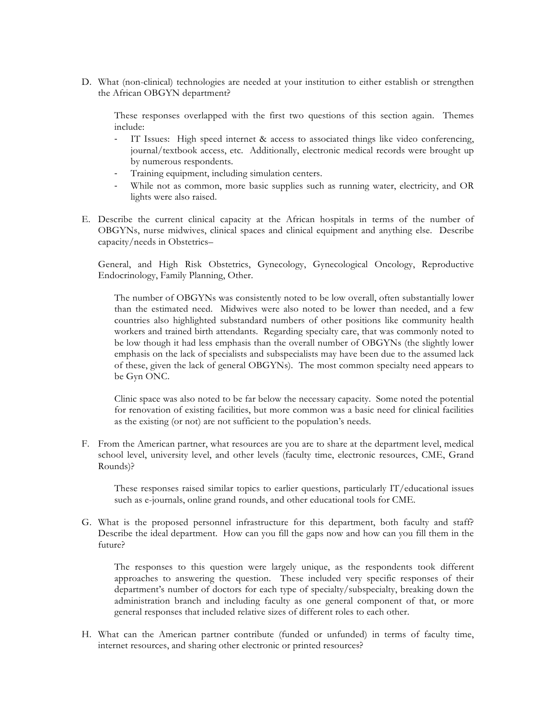D. What (non-clinical) technologies are needed at your institution to either establish or strengthen the African OBGYN department?

These responses overlapped with the first two questions of this section again. Themes include:

- IT Issues: High speed internet & access to associated things like video conferencing, journal/textbook access, etc. Additionally, electronic medical records were brought up by numerous respondents.
- Training equipment, including simulation centers.
- While not as common, more basic supplies such as running water, electricity, and OR lights were also raised.
- E. Describe the current clinical capacity at the African hospitals in terms of the number of OBGYNs, nurse midwives, clinical spaces and clinical equipment and anything else. Describe capacity/needs in Obstetrics–

General, and High Risk Obstetrics, Gynecology, Gynecological Oncology, Reproductive Endocrinology, Family Planning, Other.

The number of OBGYNs was consistently noted to be low overall, often substantially lower than the estimated need. Midwives were also noted to be lower than needed, and a few countries also highlighted substandard numbers of other positions like community health workers and trained birth attendants. Regarding specialty care, that was commonly noted to be low though it had less emphasis than the overall number of OBGYNs (the slightly lower emphasis on the lack of specialists and subspecialists may have been due to the assumed lack of these, given the lack of general OBGYNs). The most common specialty need appears to be Gyn ONC.

Clinic space was also noted to be far below the necessary capacity. Some noted the potential for renovation of existing facilities, but more common was a basic need for clinical facilities as the existing (or not) are not sufficient to the population's needs.

F. From the American partner, what resources are you are to share at the department level, medical school level, university level, and other levels (faculty time, electronic resources, CME, Grand Rounds)?

These responses raised similar topics to earlier questions, particularly IT/educational issues such as e-journals, online grand rounds, and other educational tools for CME.

G. What is the proposed personnel infrastructure for this department, both faculty and staff? Describe the ideal department. How can you fill the gaps now and how can you fill them in the future?

The responses to this question were largely unique, as the respondents took different approaches to answering the question. These included very specific responses of their department's number of doctors for each type of specialty/subspecialty, breaking down the administration branch and including faculty as one general component of that, or more general responses that included relative sizes of different roles to each other.

H. What can the American partner contribute (funded or unfunded) in terms of faculty time, internet resources, and sharing other electronic or printed resources?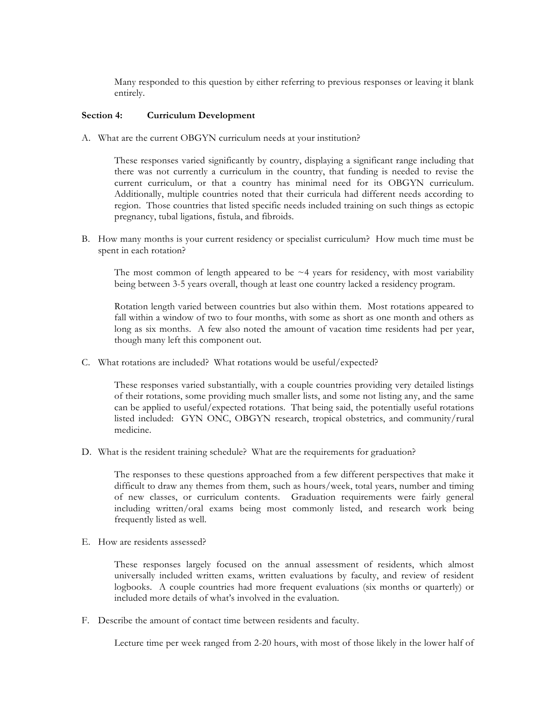Many responded to this question by either referring to previous responses or leaving it blank entirely.

#### **Section 4: Curriculum Development**

A. What are the current OBGYN curriculum needs at your institution?

These responses varied significantly by country, displaying a significant range including that there was not currently a curriculum in the country, that funding is needed to revise the current curriculum, or that a country has minimal need for its OBGYN curriculum. Additionally, multiple countries noted that their curricula had different needs according to region. Those countries that listed specific needs included training on such things as ectopic pregnancy, tubal ligations, fistula, and fibroids.

B. How many months is your current residency or specialist curriculum? How much time must be spent in each rotation?

The most common of length appeared to be  $\sim$  4 years for residency, with most variability being between 3-5 years overall, though at least one country lacked a residency program.

Rotation length varied between countries but also within them. Most rotations appeared to fall within a window of two to four months, with some as short as one month and others as long as six months. A few also noted the amount of vacation time residents had per year, though many left this component out.

C. What rotations are included? What rotations would be useful/expected?

These responses varied substantially, with a couple countries providing very detailed listings of their rotations, some providing much smaller lists, and some not listing any, and the same can be applied to useful/expected rotations. That being said, the potentially useful rotations listed included: GYN ONC, OBGYN research, tropical obstetrics, and community/rural medicine.

D. What is the resident training schedule? What are the requirements for graduation?

The responses to these questions approached from a few different perspectives that make it difficult to draw any themes from them, such as hours/week, total years, number and timing of new classes, or curriculum contents. Graduation requirements were fairly general including written/oral exams being most commonly listed, and research work being frequently listed as well.

E. How are residents assessed?

These responses largely focused on the annual assessment of residents, which almost universally included written exams, written evaluations by faculty, and review of resident logbooks. A couple countries had more frequent evaluations (six months or quarterly) or included more details of what's involved in the evaluation.

F. Describe the amount of contact time between residents and faculty.

Lecture time per week ranged from 2-20 hours, with most of those likely in the lower half of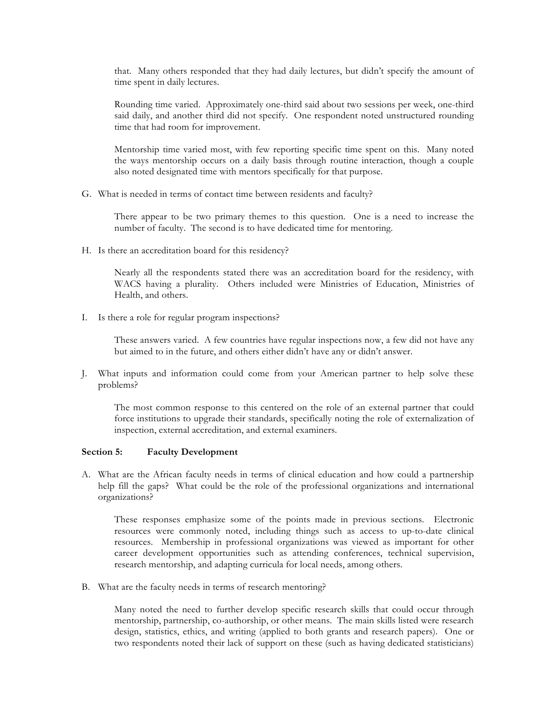that. Many others responded that they had daily lectures, but didn't specify the amount of time spent in daily lectures.

Rounding time varied. Approximately one-third said about two sessions per week, one-third said daily, and another third did not specify. One respondent noted unstructured rounding time that had room for improvement.

Mentorship time varied most, with few reporting specific time spent on this. Many noted the ways mentorship occurs on a daily basis through routine interaction, though a couple also noted designated time with mentors specifically for that purpose.

G. What is needed in terms of contact time between residents and faculty?

There appear to be two primary themes to this question. One is a need to increase the number of faculty. The second is to have dedicated time for mentoring.

H. Is there an accreditation board for this residency?

Nearly all the respondents stated there was an accreditation board for the residency, with WACS having a plurality. Others included were Ministries of Education, Ministries of Health, and others.

I. Is there a role for regular program inspections?

These answers varied. A few countries have regular inspections now, a few did not have any but aimed to in the future, and others either didn't have any or didn't answer.

J. What inputs and information could come from your American partner to help solve these problems?

The most common response to this centered on the role of an external partner that could force institutions to upgrade their standards, specifically noting the role of externalization of inspection, external accreditation, and external examiners.

#### **Section 5: Faculty Development**

A. What are the African faculty needs in terms of clinical education and how could a partnership help fill the gaps? What could be the role of the professional organizations and international organizations?

These responses emphasize some of the points made in previous sections. Electronic resources were commonly noted, including things such as access to up-to-date clinical resources. Membership in professional organizations was viewed as important for other career development opportunities such as attending conferences, technical supervision, research mentorship, and adapting curricula for local needs, among others.

B. What are the faculty needs in terms of research mentoring?

Many noted the need to further develop specific research skills that could occur through mentorship, partnership, co-authorship, or other means. The main skills listed were research design, statistics, ethics, and writing (applied to both grants and research papers). One or two respondents noted their lack of support on these (such as having dedicated statisticians)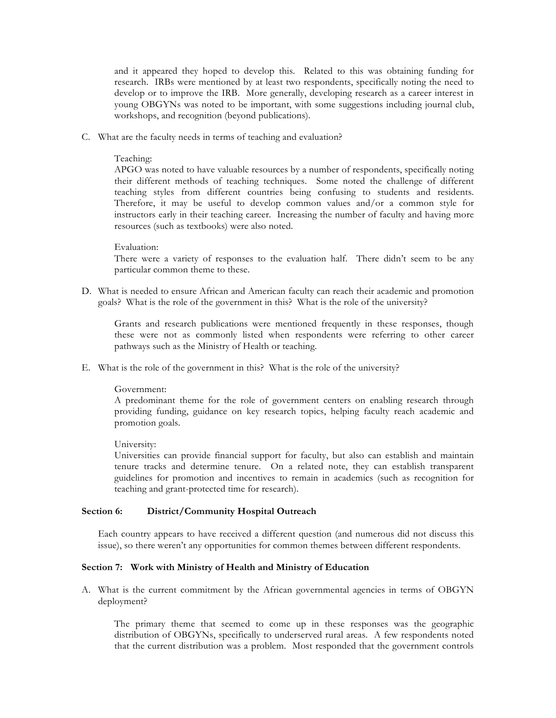and it appeared they hoped to develop this. Related to this was obtaining funding for research. IRBs were mentioned by at least two respondents, specifically noting the need to develop or to improve the IRB. More generally, developing research as a career interest in young OBGYNs was noted to be important, with some suggestions including journal club, workshops, and recognition (beyond publications).

C. What are the faculty needs in terms of teaching and evaluation?

#### Teaching:

APGO was noted to have valuable resources by a number of respondents, specifically noting their different methods of teaching techniques. Some noted the challenge of different teaching styles from different countries being confusing to students and residents. Therefore, it may be useful to develop common values and/or a common style for instructors early in their teaching career. Increasing the number of faculty and having more resources (such as textbooks) were also noted.

#### Evaluation:

There were a variety of responses to the evaluation half. There didn't seem to be any particular common theme to these.

D. What is needed to ensure African and American faculty can reach their academic and promotion goals? What is the role of the government in this? What is the role of the university?

Grants and research publications were mentioned frequently in these responses, though these were not as commonly listed when respondents were referring to other career pathways such as the Ministry of Health or teaching.

E. What is the role of the government in this? What is the role of the university?

#### Government:

A predominant theme for the role of government centers on enabling research through providing funding, guidance on key research topics, helping faculty reach academic and promotion goals.

#### University:

Universities can provide financial support for faculty, but also can establish and maintain tenure tracks and determine tenure. On a related note, they can establish transparent guidelines for promotion and incentives to remain in academics (such as recognition for teaching and grant-protected time for research).

#### **Section 6: District/Community Hospital Outreach**

Each country appears to have received a different question (and numerous did not discuss this issue), so there weren't any opportunities for common themes between different respondents.

#### **Section 7: Work with Ministry of Health and Ministry of Education**

A. What is the current commitment by the African governmental agencies in terms of OBGYN deployment?

The primary theme that seemed to come up in these responses was the geographic distribution of OBGYNs, specifically to underserved rural areas. A few respondents noted that the current distribution was a problem. Most responded that the government controls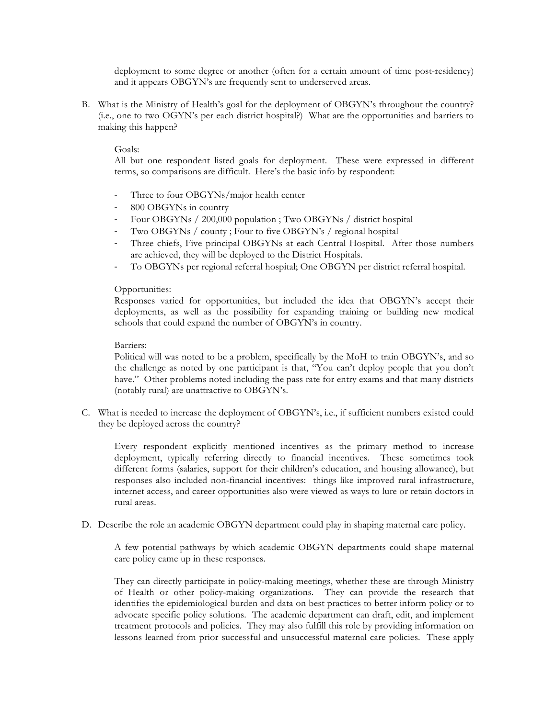deployment to some degree or another (often for a certain amount of time post-residency) and it appears OBGYN's are frequently sent to underserved areas.

B. What is the Ministry of Health's goal for the deployment of OBGYN's throughout the country? (i.e., one to two OGYN's per each district hospital?) What are the opportunities and barriers to making this happen?

#### Goals:

All but one respondent listed goals for deployment. These were expressed in different terms, so comparisons are difficult. Here's the basic info by respondent:

- Three to four OBGYNs/major health center
- 800 OBGYNs in country
- Four OBGYNs / 200,000 population ; Two OBGYNs / district hospital
- Two OBGYNs / county ; Four to five OBGYN's / regional hospital
- Three chiefs, Five principal OBGYNs at each Central Hospital. After those numbers are achieved, they will be deployed to the District Hospitals.
- To OBGYNs per regional referral hospital; One OBGYN per district referral hospital.

#### Opportunities:

Responses varied for opportunities, but included the idea that OBGYN's accept their deployments, as well as the possibility for expanding training or building new medical schools that could expand the number of OBGYN's in country.

#### Barriers:

Political will was noted to be a problem, specifically by the MoH to train OBGYN's, and so the challenge as noted by one participant is that, "You can't deploy people that you don't have." Other problems noted including the pass rate for entry exams and that many districts (notably rural) are unattractive to OBGYN's.

C. What is needed to increase the deployment of OBGYN's, i.e., if sufficient numbers existed could they be deployed across the country?

Every respondent explicitly mentioned incentives as the primary method to increase deployment, typically referring directly to financial incentives. These sometimes took different forms (salaries, support for their children's education, and housing allowance), but responses also included non-financial incentives: things like improved rural infrastructure, internet access, and career opportunities also were viewed as ways to lure or retain doctors in rural areas.

D. Describe the role an academic OBGYN department could play in shaping maternal care policy.

A few potential pathways by which academic OBGYN departments could shape maternal care policy came up in these responses.

They can directly participate in policy-making meetings, whether these are through Ministry of Health or other policy-making organizations. They can provide the research that identifies the epidemiological burden and data on best practices to better inform policy or to advocate specific policy solutions. The academic department can draft, edit, and implement treatment protocols and policies. They may also fulfill this role by providing information on lessons learned from prior successful and unsuccessful maternal care policies. These apply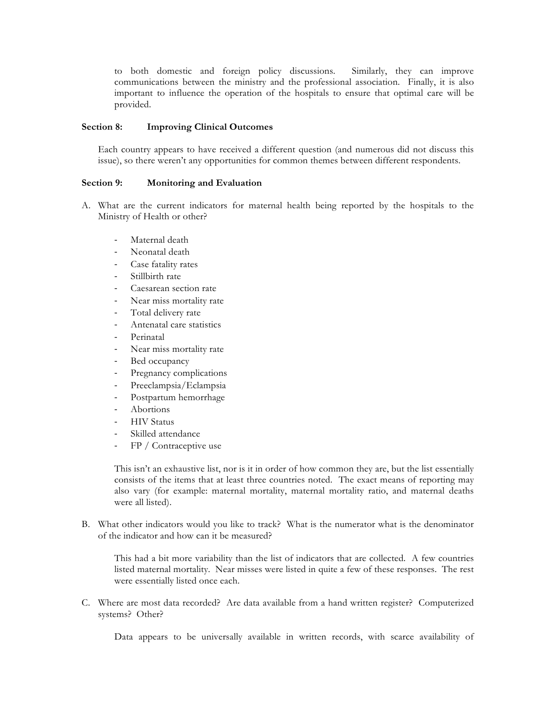to both domestic and foreign policy discussions. Similarly, they can improve communications between the ministry and the professional association. Finally, it is also important to influence the operation of the hospitals to ensure that optimal care will be provided.

#### **Section 8: Improving Clinical Outcomes**

Each country appears to have received a different question (and numerous did not discuss this issue), so there weren't any opportunities for common themes between different respondents.

#### **Section 9: Monitoring and Evaluation**

- A. What are the current indicators for maternal health being reported by the hospitals to the Ministry of Health or other?
	- Maternal death
	- Neonatal death
	- Case fatality rates
	- Stillbirth rate
	- Caesarean section rate
	- Near miss mortality rate
	- Total delivery rate
	- Antenatal care statistics
	- Perinatal
	- Near miss mortality rate
	- Bed occupancy
	- Pregnancy complications
	- Preeclampsia/Eclampsia
	- Postpartum hemorrhage
	- **Abortions**
	- HIV Status
	- Skilled attendance
	- FP / Contraceptive use

This isn't an exhaustive list, nor is it in order of how common they are, but the list essentially consists of the items that at least three countries noted. The exact means of reporting may also vary (for example: maternal mortality, maternal mortality ratio, and maternal deaths were all listed).

B. What other indicators would you like to track? What is the numerator what is the denominator of the indicator and how can it be measured?

This had a bit more variability than the list of indicators that are collected. A few countries listed maternal mortality. Near misses were listed in quite a few of these responses. The rest were essentially listed once each.

C. Where are most data recorded? Are data available from a hand written register? Computerized systems? Other?

Data appears to be universally available in written records, with scarce availability of